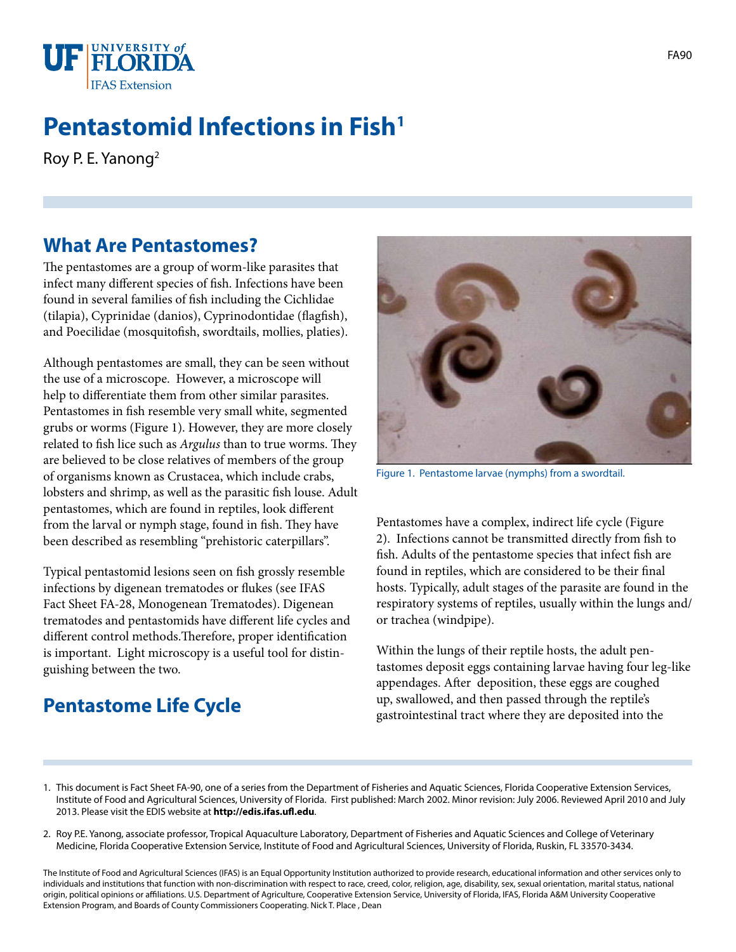

# **Pentastomid Infections in Fish<sup>1</sup>**

Roy P. E. Yanong2

#### **What Are Pentastomes?**

The pentastomes are a group of worm-like parasites that infect many different species of fish. Infections have been found in several families of fish including the Cichlidae (tilapia), Cyprinidae (danios), Cyprinodontidae (flagfish), and Poecilidae (mosquitofish, swordtails, mollies, platies).

Although pentastomes are small, they can be seen without the use of a microscope. However, a microscope will help to differentiate them from other similar parasites. Pentastomes in fish resemble very small white, segmented grubs or worms (Figure 1). However, they are more closely related to fish lice such as *Argulus* than to true worms. They are believed to be close relatives of members of the group of organisms known as Crustacea, which include crabs, lobsters and shrimp, as well as the parasitic fish louse. Adult pentastomes, which are found in reptiles, look different from the larval or nymph stage, found in fish. They have been described as resembling "prehistoric caterpillars".

Typical pentastomid lesions seen on fish grossly resemble infections by digenean trematodes or flukes (see IFAS Fact Sheet FA-28, Monogenean Trematodes). Digenean trematodes and pentastomids have different life cycles and different control methods.Therefore, proper identification is important. Light microscopy is a useful tool for distinguishing between the two.

# **Pentastome Life Cycle**



Figure 1. Pentastome larvae (nymphs) from a swordtail.

Pentastomes have a complex, indirect life cycle (Figure 2). Infections cannot be transmitted directly from fish to fish. Adults of the pentastome species that infect fish are found in reptiles, which are considered to be their final hosts. Typically, adult stages of the parasite are found in the respiratory systems of reptiles, usually within the lungs and/ or trachea (windpipe).

Within the lungs of their reptile hosts, the adult pentastomes deposit eggs containing larvae having four leg-like appendages. After deposition, these eggs are coughed up, swallowed, and then passed through the reptile's gastrointestinal tract where they are deposited into the

- 1. This document is Fact Sheet FA-90, one of a series from the Department of Fisheries and Aquatic Sciences, Florida Cooperative Extension Services, Institute of Food and Agricultural Sciences, University of Florida. First published: March 2002. Minor revision: July 2006. Reviewed April 2010 and July 2013. Please visit the EDIS website at **http://edis.ifas.ufl.edu**.
- 2. Roy P.E. Yanong, associate professor, Tropical Aquaculture Laboratory, Department of Fisheries and Aquatic Sciences and College of Veterinary Medicine, Florida Cooperative Extension Service, Institute of Food and Agricultural Sciences, University of Florida, Ruskin, FL 33570-3434.

The Institute of Food and Agricultural Sciences (IFAS) is an Equal Opportunity Institution authorized to provide research, educational information and other services only to individuals and institutions that function with non-discrimination with respect to race, creed, color, religion, age, disability, sex, sexual orientation, marital status, national origin, political opinions or affiliations. U.S. Department of Agriculture, Cooperative Extension Service, University of Florida, IFAS, Florida A&M University Cooperative Extension Program, and Boards of County Commissioners Cooperating. Nick T. Place , Dean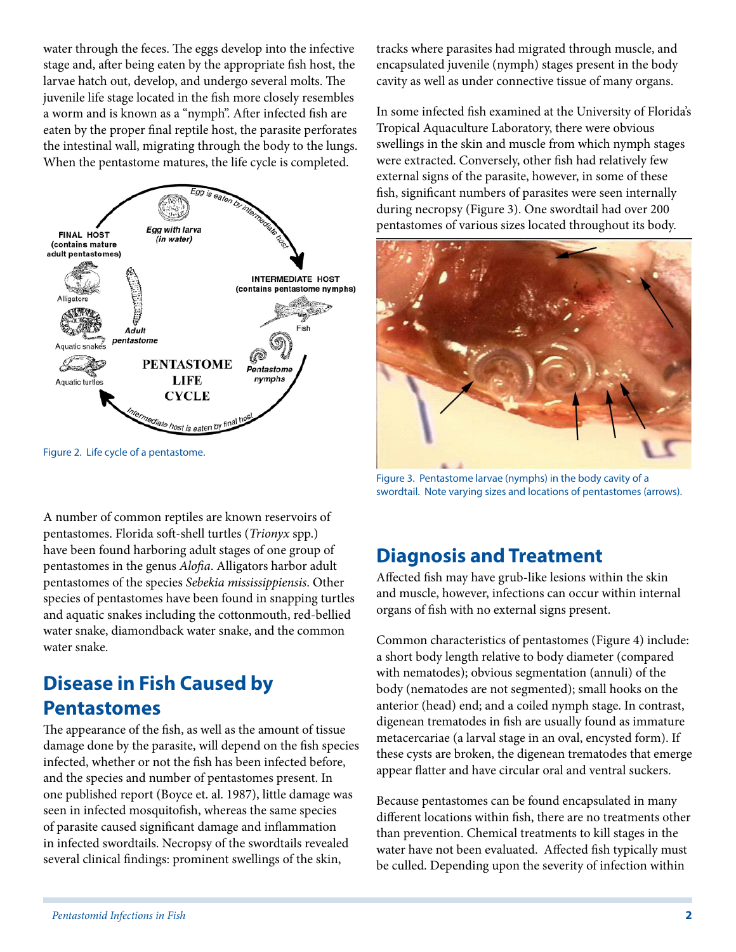water through the feces. The eggs develop into the infective stage and, after being eaten by the appropriate fish host, the larvae hatch out, develop, and undergo several molts. The juvenile life stage located in the fish more closely resembles a worm and is known as a "nymph". After infected fish are eaten by the proper final reptile host, the parasite perforates the intestinal wall, migrating through the body to the lungs. When the pentastome matures, the life cycle is completed.



Figure 2. Life cycle of a pentastome.

A number of common reptiles are known reservoirs of pentastomes. Florida soft-shell turtles (*Trionyx* spp.) have been found harboring adult stages of one group of pentastomes in the genus *Alofia*. Alligators harbor adult pentastomes of the species *Sebekia mississippiensis*. Other species of pentastomes have been found in snapping turtles and aquatic snakes including the cottonmouth, red-bellied water snake, diamondback water snake, and the common water snake.

### **Disease in Fish Caused by Pentastomes**

The appearance of the fish, as well as the amount of tissue damage done by the parasite, will depend on the fish species infected, whether or not the fish has been infected before, and the species and number of pentastomes present. In one published report (Boyce et. al. 1987), little damage was seen in infected mosquitofish, whereas the same species of parasite caused significant damage and inflammation in infected swordtails. Necropsy of the swordtails revealed several clinical findings: prominent swellings of the skin,

tracks where parasites had migrated through muscle, and encapsulated juvenile (nymph) stages present in the body cavity as well as under connective tissue of many organs.

In some infected fish examined at the University of Florida's Tropical Aquaculture Laboratory, there were obvious swellings in the skin and muscle from which nymph stages were extracted. Conversely, other fish had relatively few external signs of the parasite, however, in some of these fish, significant numbers of parasites were seen internally during necropsy (Figure 3). One swordtail had over 200 pentastomes of various sizes located throughout its body.



Figure 3. Pentastome larvae (nymphs) in the body cavity of a swordtail. Note varying sizes and locations of pentastomes (arrows).

# **Diagnosis and Treatment**

Affected fish may have grub-like lesions within the skin and muscle, however, infections can occur within internal organs of fish with no external signs present.

Common characteristics of pentastomes (Figure 4) include: a short body length relative to body diameter (compared with nematodes); obvious segmentation (annuli) of the body (nematodes are not segmented); small hooks on the anterior (head) end; and a coiled nymph stage. In contrast, digenean trematodes in fish are usually found as immature metacercariae (a larval stage in an oval, encysted form). If these cysts are broken, the digenean trematodes that emerge appear flatter and have circular oral and ventral suckers.

Because pentastomes can be found encapsulated in many different locations within fish, there are no treatments other than prevention. Chemical treatments to kill stages in the water have not been evaluated. Affected fish typically must be culled. Depending upon the severity of infection within